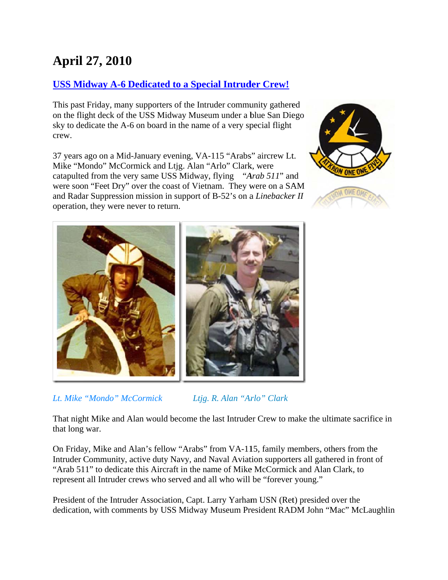## **April 27, 2010**

## **USS Midway A-6 Dedicated to a Special Intruder Crew!**

This past Friday, many supporters of the Intruder community gathered on the flight deck of the USS Midway Museum under a blue San Diego sky to dedicate the A-6 on board in the name of a very special flight crew.

37 years ago on a Mid-January evening, VA-115 "Arabs" aircrew Lt. Mike "Mondo" McCormick and Ltjg. Alan "Arlo" Clark, were catapulted from the very same USS Midway, flying "Arab 511" and were soon "Feet Dry" over the coast of Vietnam. They were on a SAM and Radar Suppression mission in support of B-52's on a Linebacker II operation, they were never to return.





Lt. Mike "Mondo" McCormick

Ltjg. R. Alan "Arlo" Clark

That night Mike and Alan would become the last Intruder Crew to make the ultimate sacrifice in that long war.

On Friday, Mike and Alan's fellow "Arabs" from VA-115, family members, others from the Intruder Community, active duty Navy, and Naval Aviation supporters all gathered in front of "Arab 511" to dedicate this Aircraft in the name of Mike McCormick and Alan Clark, to represent all Intruder crews who served and all who will be "forever young."

President of the Intruder Association, Capt. Larry Yarham USN (Ret) presided over the dedication, with comments by USS Midway Museum President RADM John "Mac" McLaughlin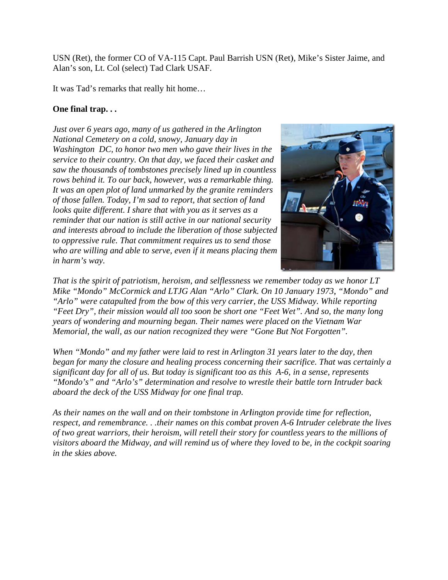USN (Ret), the former CO of VA-115 Capt. Paul Barrish USN (Ret), Mike's Sister Jaime, and Alan's son, Lt. Col (select) Tad Clark USAF.

It was Tad's remarks that really hit home...

## One final trap...

*Just over* 6 years ago, many of us gathered in the Arlington *National Cemetery on a cold, snowy, January day in* Washington DC, to honor two men who gave their lives in the *service to their country. On that day, we faced their casket and saw the thousands of tombstones precisely lined up in countless rows behind it. To our back, however, was a remarkable thing.* It was an open plot of land unmarked by the granite reminders *of those fallen. Today, I'm sad to report, that section of land looks quite different. I share that with you as it serves as a reminder that our nation is still active in our national security dimerests abroad to include the liberation of those subjected to oppressive rule. That commitment requires us to send those* who are willing and able to serve, even if it means placing them in harm's way.



*That is the spirit of patriotism, heroism, and selflessness we remember today as we honor LT That is the spirit of patriotism, heroism, and selflessness we remember today as we honor LT<br>Mike "Mondo" McCormick and LTJG Alan "Arlo" Clark. On 10 January 1973, "Mondo" and* "Arlo" were catapulted from the bow of this very carrier, the USS Midway. While reporting "Arlo" were catapulted from the bow of this very carrier, the USS Midway. While reporting<br>"Feet Dry", their mission would all too soon be short one "Feet Wet". And so, the many long *years of wondering and mourning began. Their names were placed on the Vietnam War Memorial, the wall, as our nation recognized they were "Gone But Not Forgotten".* 

*When "Mondo" and my father were laid to rest in Arlington 31 years later to the day, then began for many the closure and healing process concerning their sacrifice. That was certainly a significant day for all of us. But today is significant too as this A-6, in a sense, represents* "Mondo's" and "Arlo's" determination and resolve to wrestle their battle torn Intruder back *aboard th he deck of th he USS Midw way for one f final trap.*

As their names on the wall and on their tombstone in Arlington provide time for reflection, *respect, and remembrance...their names on this combat proven A-6 Intruder celebrate the lives of two great warriors, their heroism, will retell their story for countless years to the millions of visitors aboard the Midway, and will remind us of where they loved to be, in the cockpit soaring in the skies above.*